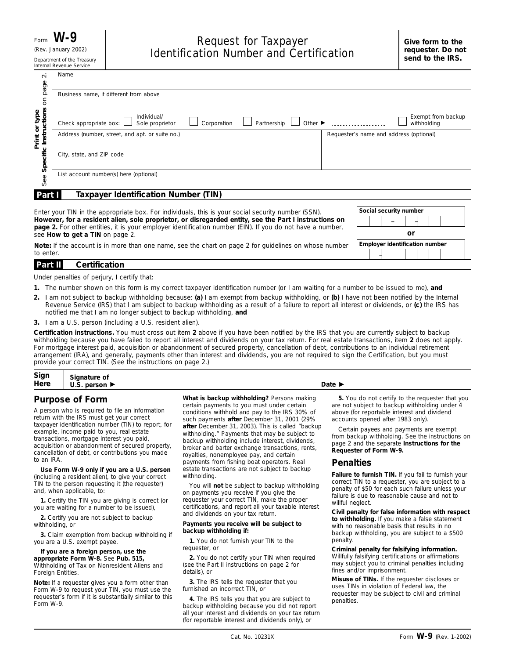| $\overline{\mathcal{N}}$<br>page | Name                                                                                                                  |                                         |
|----------------------------------|-----------------------------------------------------------------------------------------------------------------------|-----------------------------------------|
| 5                                | Business name, if different from above                                                                                |                                         |
| Print or type<br>Instructions    | Individual/<br>Check appropriate box:<br>Other $\blacktriangleright$<br>Partnership<br>Sole proprietor<br>Corporation | Exempt from backup<br>withholding       |
| Print                            | Address (number, street, and apt. or suite no.)                                                                       | Requester's name and address (optional) |
| Specific                         | City, state, and ZIP code                                                                                             |                                         |
| See                              | List account number(s) here (optional)                                                                                |                                         |
| Part I                           | <b>Taxpayer Identification Number (TIN)</b>                                                                           |                                         |

#### **Social security number** Enter your TIN in the appropriate box. For individuals, this is your social security number (SSN). **However, for a resident alien, sole proprietor, or disregarded entity, see the Part I instructions on** – – **page 2.** For other entities, it is your employer identification number (EIN). If you do not have a number, **or** see **How to get a TIN** on page 2.  $\overline{\phantom{a}}$

**Note:** If the account is in more than one name, see the chart on page 2 for guidelines on whose number **Employer identification number** to enter. *to enter.* –

| Par<br>M | .<br>$\sim$<br>---<br>∴ص. |  |  |  |  |
|----------|---------------------------|--|--|--|--|
|          |                           |  |  |  |  |

Under penalties of perjury, I certify that:

- **1.** The number shown on this form is my correct taxpayer identification number (or I am waiting for a number to be issued to me), **and**
- I am not subject to backup withholding because: **(a)** I am exempt from backup withholding, or **(b)** I have not been notified by the Internal Revenue Service (IRS) that I am subject to backup withholding as a result of a failure to report all interest or dividends, or **(c)** the IRS has notified me that I am no longer subject to backup withholding, **and 2.**
- **3.** I am a U.S. person (including a U.S. resident alien).

**Certification instructions.** You must cross out item **2** above if you have been notified by the IRS that you are currently subject to backup withholding because you have failed to report all interest and dividends on your tax return. For real estate transactions, item **2** does not apply. For mortgage interest paid, acquisition or abandonment of secured property, cancellation of debt, contributions to an individual retirement arrangement (IRA), and generally, payments other than interest and dividends, you are not required to sign the Certification, but you must provide your correct TIN. (See the instructions on page 2.)

| Sign | Signature of                                   |                            |
|------|------------------------------------------------|----------------------------|
|      | Here $\vert$ U.S. person $\blacktriangleright$ | Date $\blacktriangleright$ |

A person who is required to file an information return with the IRS must get your correct taxpayer identification number (TIN) to report, for example, income paid to you, real estate transactions, mortgage interest you paid, acquisition or abandonment of secured property, cancellation of debt, or contributions you made to an IRA.

**Use Form W-9 only if you are a U.S. person** (including a resident alien), to give your correct TIN to the person requesting it (the requester) and, when applicable, to:

**1.** Certify the TIN you are giving is correct (or you are waiting for a number to be issued),

**2.** Certify you are not subject to backup withholding, or

**3.** Claim exemption from backup withholding if you are a U.S. exempt payee.

**If you are a foreign person, use the appropriate Form W-8.** See **Pub. 515,** Withholding of Tax on Nonresident Aliens and Foreign Entities.

**Note:** *If a requester gives you a form other than Form W-9 to request your TIN, you must use the requester's form if it is substantially similar to this Form W-9.*

**Purpose of Form** What is backup withholding? Persons making 5. You do not certify to the requester that you certify to the requester that you certain payments to you must under certain conditions withhold and pay to the IRS 30% of such payments **after** December 31, 2001 (29% **after** December 31, 2003). This is called "backup withholding." Payments that may be subject to backup withholding include interest, dividends, broker and barter exchange transactions, rents, royalties, nonemployee pay, and certain payments from fishing boat operators. Real estate transactions are not subject to backup withholding.

> You will **not** be subject to backup withholding on payments you receive if you give the requester your correct TIN, make the proper certifications, and report all your taxable interest and dividends on your tax return.

#### **Payments you receive will be subject to backup withholding if:**

**1.** You do not furnish your TIN to the requester, or

**2.** You do not certify your TIN when required (see the Part II instructions on page 2 for details), or

**3.** The IRS tells the requester that you furnished an incorrect TIN, or

**4.** The IRS tells you that you are subject to backup withholding because you did not report all your interest and dividends on your tax return (for reportable interest and dividends only), or

are not subject to backup withholding under 4 above (for reportable interest and dividend accounts opened after 1983 only).

Certain payees and payments are exempt from backup withholding. See the instructions on page 2 and the separate **Instructions for the Requester of Form W-9.**

# **Penalties**

**Failure to furnish TIN.** If you fail to furnish your correct TIN to a requester, you are subject to a penalty of \$50 for each such failure unless your failure is due to reasonable cause and not to willful neglect.

**Civil penalty for false information with respect to withholding.** If you make a false statement with no reasonable basis that results in no backup withholding, you are subject to a \$500 penalty.

**Criminal penalty for falsifying information.** Willfully falsifying certifications or affirmations may subject you to criminal penalties including fines and/or imprisonment.

**Misuse of TINs.** If the requester discloses or uses TINs in violation of Federal law, the requester may be subject to civil and criminal penalties.